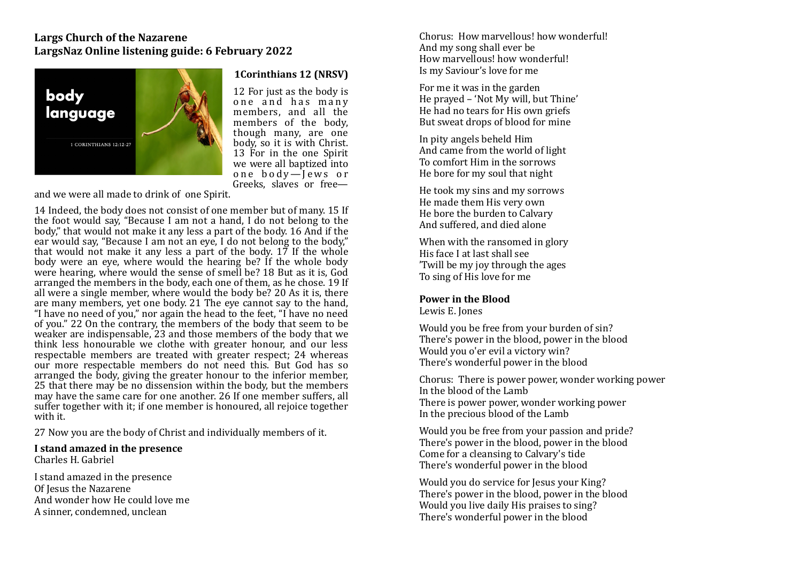### **Largs Church of the Nazarene** LargsNaz Online listening guide: 6 February 2022



#### **1Corinthians 12 (NRSV)**

12 For just as the body is one and has many members, and all the members of the body, though many, are one body, so it is with Christ. 13 For in the one Spirit we were all baptized into one  $body$ -Jews or Greeks, slaves or free—

and we were all made to drink of one Spirit.

14 Indeed, the body does not consist of one member but of many. 15 If the foot would say, "Because I am not a hand, I do not belong to the body," that would not make it any less a part of the body. 16 And if the ear would say, "Because I am not an eve. I do not belong to the body," that would not make it any less a part of the body.  $17$  If the whole body were an eye, where would the hearing be? If the whole body were hearing, where would the sense of smell be? 18 But as it is, God arranged the members in the body, each one of them, as he chose, 19 If all were a single member, where would the body be? 20 As it is, there are many members, yet one body. 21 The eve cannot say to the hand, "I have no need of you," nor again the head to the feet, "I have no need of you." 22 On the contrary, the members of the body that seem to be weaker are indispensable,  $23$  and those members of the body that we think less honourable we clothe with greater honour, and our less respectable members are treated with greater respect; 24 whereas our more respectable members do not need this. But God has so arranged the body, giving the greater honour to the inferior member, 25 that there may be no dissension within the body, but the members may have the same care for one another. 26 If one member suffers, all suffer together with it; if one member is honoured, all rejoice together with it.

27 Now you are the body of Christ and individually members of it.

**I** stand amazed in the presence Charles H. Gabriel 

I stand amazed in the presence Of Iesus the Nazarene And wonder how He could love me A sinner, condemned, unclean

Chorus: How marvellous! how wonderful! And my song shall ever be How marvellous! how wonderful! Is my Saviour's love for me 

For me it was in the garden He prayed – 'Not My will, but Thine' He had no tears for His own griefs But sweat drops of blood for mine

In pity angels beheld Him And came from the world of light To comfort Him in the sorrows He bore for my soul that night

He took my sins and my sorrows He made them His very own He bore the burden to Calvary And suffered, and died alone

When with the ransomed in glory His face I at last shall see 'Twill be my joy through the ages To sing of His love for me

# **Power in the Blood**

Lewis E. Jones

Would you be free from your burden of sin? There's power in the blood, power in the blood Would you o'er evil a victory win? There's wonderful power in the blood

Chorus: There is power power, wonder working power In the blood of the Lamb There is power power, wonder working power In the precious blood of the Lamb

Would you be free from your passion and pride? There's power in the blood, power in the blood Come for a cleansing to Calvary's tide There's wonderful power in the blood

Would you do service for Jesus your King? There's power in the blood, power in the blood Would you live daily His praises to sing? There's wonderful power in the blood